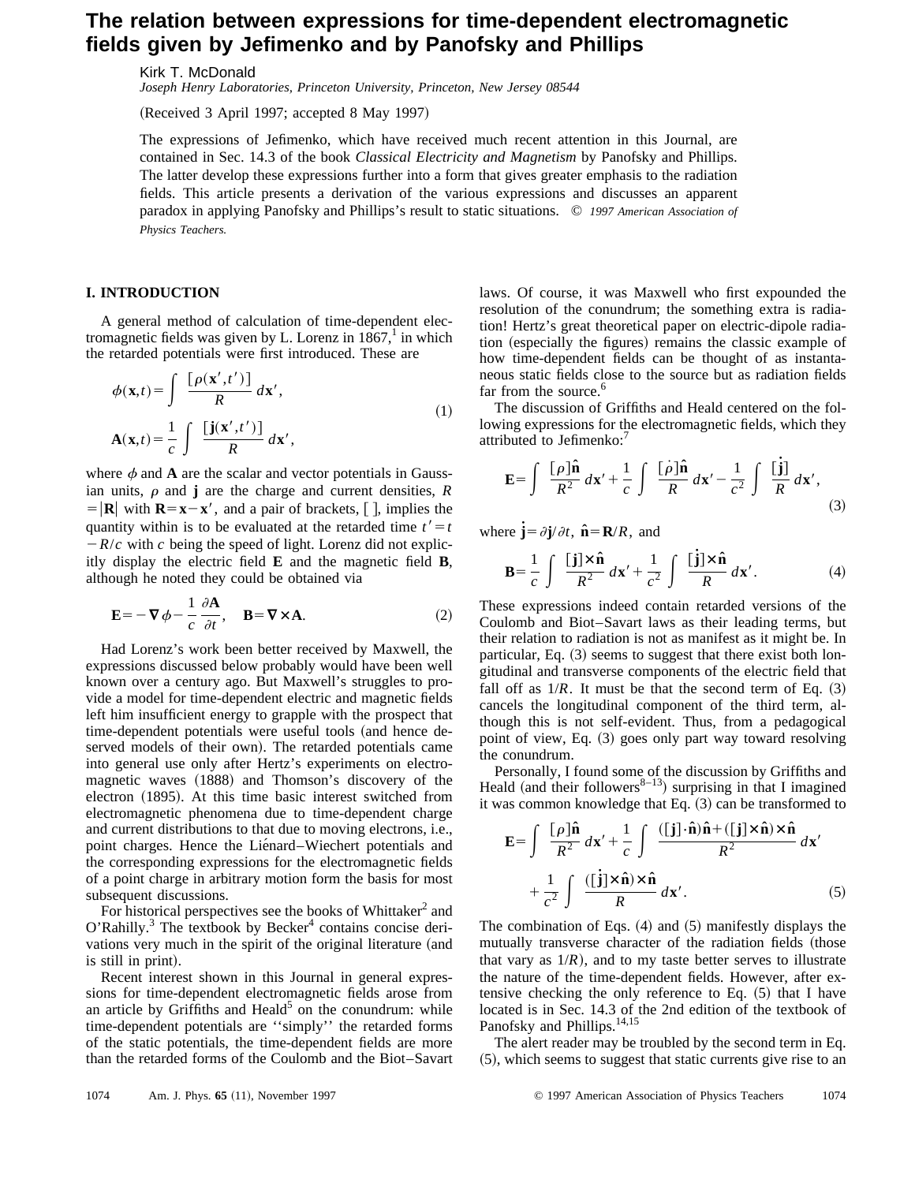## **The relation between expressions for time-dependent electromagnetic fields given by Jefimenko and by Panofsky and Phillips**

Kirk T. McDonald

*Joseph Henry Laboratories, Princeton University, Princeton, New Jersey 08544*

(Received 3 April 1997; accepted 8 May 1997)

The expressions of Jefimenko, which have received much recent attention in this Journal, are contained in Sec. 14.3 of the book *Classical Electricity and Magnetism* by Panofsky and Phillips. The latter develop these expressions further into a form that gives greater emphasis to the radiation fields. This article presents a derivation of the various expressions and discusses an apparent paradox in applying Panofsky and Phillips's result to static situations. © *1997 American Association of Physics Teachers.*

## **I. INTRODUCTION**

A general method of calculation of time-dependent electromagnetic fields was given by L. Lorenz in  $1867<sup>1</sup>$  in which the retarded potentials were first introduced. These are

$$
\phi(\mathbf{x},t) = \int \frac{\left[\rho(\mathbf{x}',t')\right]}{R} d\mathbf{x}',
$$
\n
$$
\mathbf{A}(\mathbf{x},t) = \frac{1}{c} \int \frac{\left[\mathbf{j}(\mathbf{x}',t')\right]}{R} d\mathbf{x}',
$$
\n(1)

where  $\phi$  and **A** are the scalar and vector potentials in Gaussian units,  $\rho$  and **j** are the charge and current densities,  $R$  $= |\mathbf{R}|$  with  $\mathbf{R} = \mathbf{x} - \mathbf{x}'$ , and a pair of brackets, [], implies the quantity within is to be evaluated at the retarded time  $t' = t$  $-R/c$  with *c* being the speed of light. Lorenz did not explicitly display the electric field **E** and the magnetic field **B**, although he noted they could be obtained via

$$
\mathbf{E} = -\nabla \phi - \frac{1}{c} \frac{\partial \mathbf{A}}{\partial t}, \quad \mathbf{B} = \nabla \times \mathbf{A}.
$$
 (2)

Had Lorenz's work been better received by Maxwell, the expressions discussed below probably would have been well known over a century ago. But Maxwell's struggles to provide a model for time-dependent electric and magnetic fields left him insufficient energy to grapple with the prospect that time-dependent potentials were useful tools (and hence deserved models of their own). The retarded potentials came into general use only after Hertz's experiments on electromagnetic waves (1888) and Thomson's discovery of the electron (1895). At this time basic interest switched from electromagnetic phenomena due to time-dependent charge and current distributions to that due to moving electrons, i.e., point charges. Hence the Liénard–Wiechert potentials and the corresponding expressions for the electromagnetic fields of a point charge in arbitrary motion form the basis for most subsequent discussions.

For historical perspectives see the books of Whittaker<sup>2</sup> and  $O'$ Rahilly.<sup>3</sup> The textbook by Becker<sup>4</sup> contains concise derivations very much in the spirit of the original literature (and is still in print).

Recent interest shown in this Journal in general expressions for time-dependent electromagnetic fields arose from an article by Griffiths and Heald<sup>5</sup> on the conundrum: while time-dependent potentials are ''simply'' the retarded forms of the static potentials, the time-dependent fields are more than the retarded forms of the Coulomb and the Biot–Savart laws. Of course, it was Maxwell who first expounded the resolution of the conundrum; the something extra is radiation! Hertz's great theoretical paper on electric-dipole radiation (especially the figures) remains the classic example of how time-dependent fields can be thought of as instantaneous static fields close to the source but as radiation fields far from the source.<sup>6</sup>

The discussion of Griffiths and Heald centered on the following expressions for the electromagnetic fields, which they attributed to Jefimenko:<sup>7</sup>

$$
\mathbf{E} = \int \frac{[\rho]\hat{\mathbf{n}}}{R^2} d\mathbf{x}' + \frac{1}{c} \int \frac{[\dot{\rho}]\hat{\mathbf{n}}}{R} d\mathbf{x}' - \frac{1}{c^2} \int \frac{[\mathbf{j}]}{R} d\mathbf{x}',\tag{3}
$$

where  $\dot{\mathbf{j}} = \partial \mathbf{j}/\partial t$ ,  $\hat{\mathbf{n}} = \mathbf{R}/R$ , and

$$
\mathbf{B} = \frac{1}{c} \int \frac{[\mathbf{j}] \times \hat{\mathbf{n}}}{R^2} d\mathbf{x}' + \frac{1}{c^2} \int \frac{[\mathbf{j}] \times \hat{\mathbf{n}}}{R} d\mathbf{x}'. \tag{4}
$$

These expressions indeed contain retarded versions of the Coulomb and Biot–Savart laws as their leading terms, but their relation to radiation is not as manifest as it might be. In particular, Eq.  $(3)$  seems to suggest that there exist both longitudinal and transverse components of the electric field that fall off as  $1/R$ . It must be that the second term of Eq.  $(3)$ cancels the longitudinal component of the third term, although this is not self-evident. Thus, from a pedagogical point of view, Eq. (3) goes only part way toward resolving the conundrum.

Personally, I found some of the discussion by Griffiths and Heald (and their followers<sup>8–13</sup>) surprising in that I imagined it was common knowledge that Eq.  $(3)$  can be transformed to

$$
\mathbf{E} = \int \frac{[\rho]\hat{\mathbf{n}}}{R^2} d\mathbf{x}' + \frac{1}{c} \int \frac{([\mathbf{j}] \cdot \hat{\mathbf{n}})\hat{\mathbf{n}} + ([\mathbf{j}] \times \hat{\mathbf{n}}) \times \hat{\mathbf{n}}}{R^2} d\mathbf{x}'
$$

$$
+ \frac{1}{c^2} \int \frac{([\mathbf{j}] \times \hat{\mathbf{n}}) \times \hat{\mathbf{n}}}{R} d\mathbf{x}'. \qquad (5)
$$

The combination of Eqs.  $(4)$  and  $(5)$  manifestly displays the mutually transverse character of the radiation fields (those that vary as  $1/R$ ), and to my taste better serves to illustrate the nature of the time-dependent fields. However, after extensive checking the only reference to Eq.  $(5)$  that I have located is in Sec. 14.3 of the 2nd edition of the textbook of Panofsky and Phillips.<sup>14,15</sup>

The alert reader may be troubled by the second term in Eq.  $(5)$ , which seems to suggest that static currents give rise to an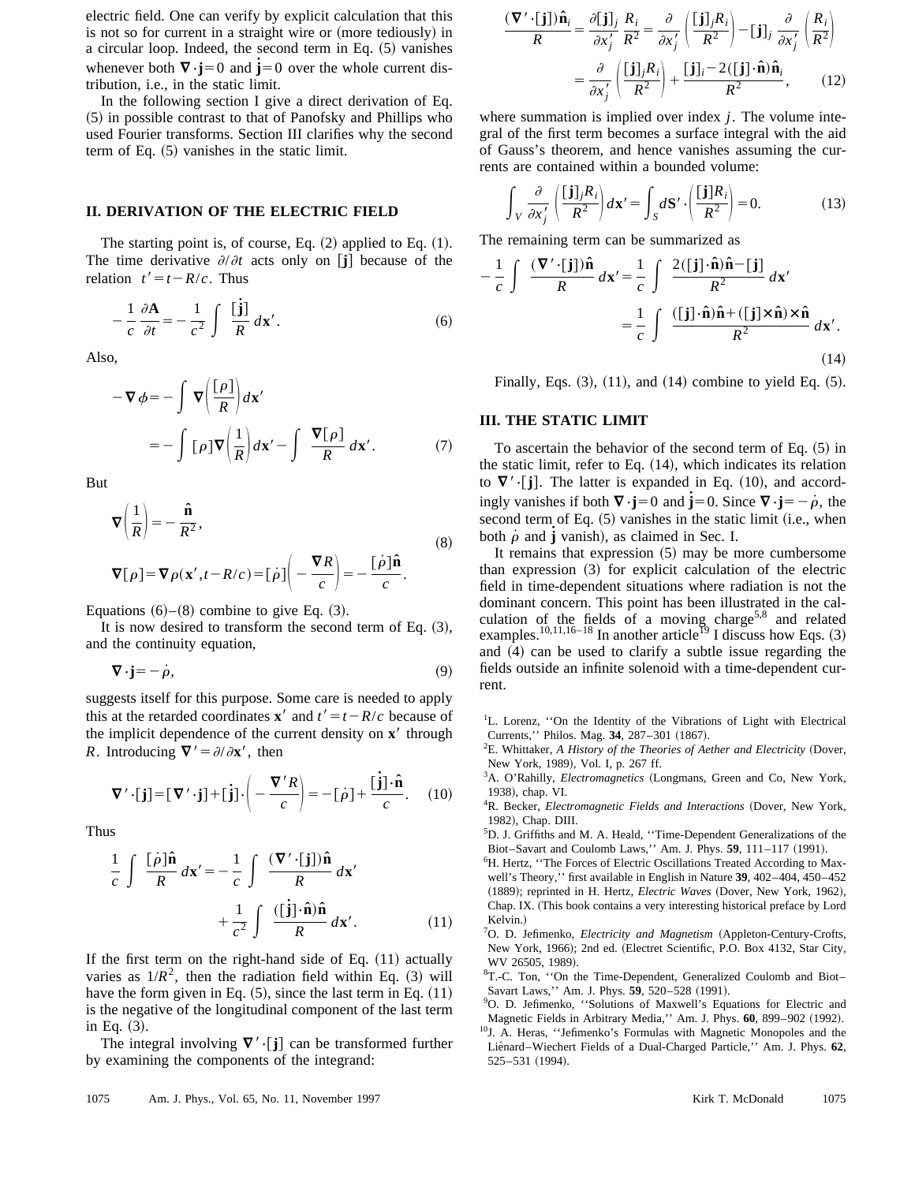electric field. One can verify by explicit calculation that this is not so for current in a straight wire or (more tediously) in a circular loop. Indeed, the second term in Eq.  $(5)$  vanishes whenever both  $\nabla \cdot \mathbf{j} = 0$  and  $\mathbf{j} = 0$  over the whole current distribution, i.e., in the static limit.

In the following section I give a direct derivation of Eq.  $(5)$  in possible contrast to that of Panofsky and Phillips who used Fourier transforms. Section III clarifies why the second term of Eq.  $(5)$  vanishes in the static limit.

## **II. DERIVATION OF THE ELECTRIC FIELD**

The starting point is, of course, Eq.  $(2)$  applied to Eq.  $(1)$ . The time derivative  $\partial/\partial t$  acts only on [j] because of the relation  $t' = t - R/c$ . Thus

$$
-\frac{1}{c}\frac{\partial \mathbf{A}}{\partial t} = -\frac{1}{c^2} \int \frac{\left[\mathbf{j}\right]}{R} d\mathbf{x}'.
$$
 (6)

Also,

$$
-\nabla \phi = -\int \nabla \left(\frac{[\rho]}{R}\right) d\mathbf{x}'
$$

$$
= -\int [\rho] \nabla \left(\frac{1}{R}\right) d\mathbf{x}' - \int \frac{\nabla [\rho]}{R} d\mathbf{x}'. \qquad (7)
$$

But

$$
\nabla \left( \frac{1}{R} \right) = -\frac{\hat{\mathbf{n}}}{R^2},
$$
\n
$$
\nabla[\rho] = \nabla \rho(\mathbf{x}', t - R/c) = [\dot{\rho}] \left( -\frac{\nabla R}{c} \right) = -\frac{[\dot{\rho}]\hat{\mathbf{n}}}{c}.
$$
\n(8)

Equations  $(6)$ – $(8)$  combine to give Eq.  $(3)$ .

It is now desired to transform the second term of Eq.  $(3)$ , and the continuity equation,

$$
\nabla \cdot \mathbf{j} = -\dot{\rho},\tag{9}
$$

suggests itself for this purpose. Some care is needed to apply this at the retarded coordinates **x**<sup> $\prime$ </sup> and  $t' = t - R/c$  because of the implicit dependence of the current density on **x**<sup> $\prime$ </sup> through *R*. Introducing  $\nabla' = \partial/\partial x'$ , then

$$
\nabla' \cdot [\mathbf{j}] = [\nabla' \cdot \mathbf{j}] + [\mathbf{j}] \cdot \left( -\frac{\nabla' R}{c} \right) = -[\rho] + \frac{[\mathbf{j}] \cdot \hat{\mathbf{n}}}{c}. \quad (10)
$$

Thus

$$
\frac{1}{c} \int \frac{[\dot{\rho}]\hat{\mathbf{n}}}{R} d\mathbf{x}' = -\frac{1}{c} \int \frac{(\nabla' \cdot [\mathbf{j}])\hat{\mathbf{n}}}{R} d\mathbf{x}'
$$

$$
+ \frac{1}{c^2} \int \frac{([\mathbf{j}] \cdot \hat{\mathbf{n}})\hat{\mathbf{n}}}{R} d\mathbf{x}'. \qquad (11)
$$

If the first term on the right-hand side of Eq.  $(11)$  actually varies as  $1/R^2$ , then the radiation field within Eq. (3) will have the form given in Eq.  $(5)$ , since the last term in Eq.  $(11)$ is the negative of the longitudinal component of the last term in Eq.  $(3)$ .

The integral involving  $\nabla' \cdot [j]$  can be transformed further by examining the components of the integrand:

$$
\frac{(\nabla' \cdot [\mathbf{j}])\hat{\mathbf{n}}_i}{R} = \frac{\partial [\mathbf{j}]_j}{\partial x'_j} \frac{R_i}{R^2} = \frac{\partial}{\partial x'_j} \left( \frac{[\mathbf{j}]_j R_i}{R^2} \right) - [\mathbf{j}]_j \frac{\partial}{\partial x'_j} \left( \frac{R_i}{R^2} \right)
$$

$$
= \frac{\partial}{\partial x'_j} \left( \frac{[\mathbf{j}]_j R_i}{R^2} \right) + \frac{[\mathbf{j}]_i - 2([\mathbf{j}] \cdot \hat{\mathbf{n}}) \hat{\mathbf{n}}_i}{R^2}, \qquad (12)
$$

where summation is implied over index *j*. The volume integral of the first term becomes a surface integral with the aid of Gauss's theorem, and hence vanishes assuming the currents are contained within a bounded volume:

$$
\int_{V} \frac{\partial}{\partial x'_{j}} \left( \frac{[\mathbf{j}]_{j} R_{i}}{R^{2}} \right) d\mathbf{x}' = \int_{S} d\mathbf{S}' \cdot \left( \frac{[\mathbf{j}] R_{i}}{R^{2}} \right) = 0. \tag{13}
$$

The remaining term can be summarized as

$$
-\frac{1}{c} \int \frac{(\nabla' \cdot [\mathbf{j}])\hat{\mathbf{n}}}{R} d\mathbf{x}' = \frac{1}{c} \int \frac{2([\mathbf{j}] \cdot \hat{\mathbf{n}})\hat{\mathbf{n}} - [\mathbf{j}]}{R^2} d\mathbf{x}'
$$

$$
= \frac{1}{c} \int \frac{([\mathbf{j}] \cdot \hat{\mathbf{n}})\hat{\mathbf{n}} + ([\mathbf{j}] \times \hat{\mathbf{n}}) \times \hat{\mathbf{n}}}{R^2} d\mathbf{x}'.
$$
(14)

Finally, Eqs.  $(3)$ ,  $(11)$ , and  $(14)$  combine to yield Eq.  $(5)$ .

## **III. THE STATIC LIMIT**

To ascertain the behavior of the second term of Eq.  $(5)$  in the static limit, refer to Eq.  $(14)$ , which indicates its relation to  $\nabla$ ' $\cdot$ [**j**]. The latter is expanded in Eq. (10), and accordingly vanishes if both  $\nabla \cdot \mathbf{j} = 0$  and  $\dot{\mathbf{j}} = 0$ . Since  $\nabla \cdot \mathbf{j} = -\dot{\rho}$ , the second term of Eq.  $(5)$  vanishes in the static limit (i.e., when both  $\dot{\rho}$  and  $\dot{\mathbf{j}}$  vanish), as claimed in Sec. I.

It remains that expression  $(5)$  may be more cumbersome than expression  $(3)$  for explicit calculation of the electric field in time-dependent situations where radiation is not the dominant concern. This point has been illustrated in the calculation of the fields of a moving charge<sup>5,8</sup> and related examples.<sup>10,11,16–18</sup> In another article<sup>19</sup> I discuss how Eqs. (3) and  $(4)$  can be used to clarify a subtle issue regarding the fields outside an infinite solenoid with a time-dependent current.

<sup>1</sup>L. Lorenz, "On the Identity of the Vibrations of Light with Electrical Currents," Philos. Mag. 34, 287-301 (1867).

 ${}^{2}E$ . Whittaker, *A History of the Theories of Aether and Electricity* (Dover, New York, 1989), Vol. I, p. 267 ff.

<sup>3</sup>A. O'Rahilly, *Electromagnetics* (Longmans, Green and Co, New York, 1938), chap. VI.

<sup>4</sup>R. Becker, *Electromagnetic Fields and Interactions* (Dover, New York, 1982), Chap. DIII.

5 D. J. Griffiths and M. A. Heald, ''Time-Dependent Generalizations of the Biot–Savart and Coulomb Laws," Am. J. Phys.  $59$ ,  $111-117$  (1991).

<sup>6</sup>H. Hertz, "The Forces of Electric Oscillations Treated According to Maxwell's Theory,'' first available in English in Nature **39**, 402–404, 450–452 (1889); reprinted in H. Hertz, *Electric Waves* (Dover, New York, 1962), Chap. IX. (This book contains a very interesting historical preface by Lord Kelvin.)

<sup>7</sup>O. D. Jefimenko, *Electricity and Magnetism* (Appleton-Century-Crofts, New York, 1966); 2nd ed. (Electret Scientific, P.O. Box 4132, Star City, WV 26505, 1989).

<sup>8</sup>T.-C. Ton, "On the Time-Dependent, Generalized Coulomb and Biot-Savart Laws," Am. J. Phys. 59, 520-528 (1991).

10J. A. Heras, ''Jefimenko's Formulas with Magnetic Monopoles and the Lie´nard–Wiechert Fields of a Dual-Charged Particle,'' Am. J. Phys. **62**,  $525 - 531$   $(1994)$ .

<sup>&</sup>lt;sup>9</sup>O. D. Jefimenko, "Solutions of Maxwell's Equations for Electric and Magnetic Fields in Arbitrary Media," Am. J. Phys. 60, 899-902 (1992).